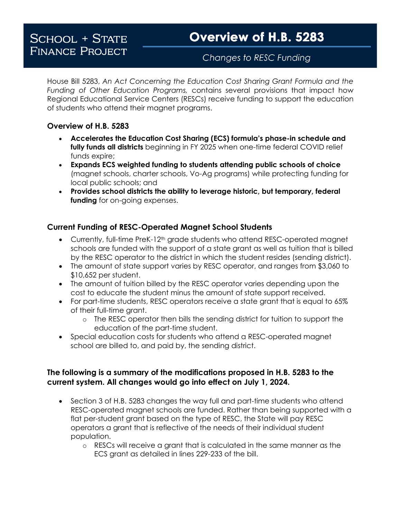## Changes to RESC Funding

House Bill 5283, *An Act Concerning the Education Cost Sharing Grant Formula and the Funding of Other Education Programs,* contains several provisions that impact how Regional Educational Service Centers (RESCs) receive funding to support the education of students who attend their magnet programs.

## **Overview of H.B. 5283**

- **Accelerates the Education Cost Sharing (ECS) formula's phase-in schedule and fully funds all districts** beginning in FY 2025 when one-time federal COVID relief funds expire;
- **Expands ECS weighted funding to students attending public schools of choice**  (magnet schools, charter schools, Vo-Ag programs) while protecting funding for local public schools; and
- **Provides school districts the ability to leverage historic, but temporary, federal funding** for on-going expenses.

## **Current Funding of RESC-Operated Magnet School Students**

- Currently, full-time PreK-12<sup>th</sup> grade students who attend RESC-operated magnet schools are funded with the support of a state grant as well as tuition that is billed by the RESC operator to the district in which the student resides (sending district).
- The amount of state support varies by RESC operator, and ranges from \$3,060 to \$10,652 per student.
- The amount of tuition billed by the RESC operator varies depending upon the cost to educate the student minus the amount of state support received.
- For part-time students, RESC operators receive a state grant that is equal to 65% of their full-time grant.
	- o The RESC operator then bills the sending district for tuition to support the education of the part-time student.
- Special education costs for students who attend a RESC-operated magnet school are billed to, and paid by, the sending district.

## **The following is a summary of the modifications proposed in H.B. 5283 to the current system. All changes would go into effect on July 1, 2024.**

- Section 3 of H.B. 5283 changes the way full and part-time students who attend RESC-operated magnet schools are funded. Rather than being supported with a flat per-student grant based on the type of RESC, the State will pay RESC operators a grant that is reflective of the needs of their individual student population.
	- o RESCs will receive a grant that is calculated in the same manner as the ECS grant as detailed in lines 229-233 of the bill.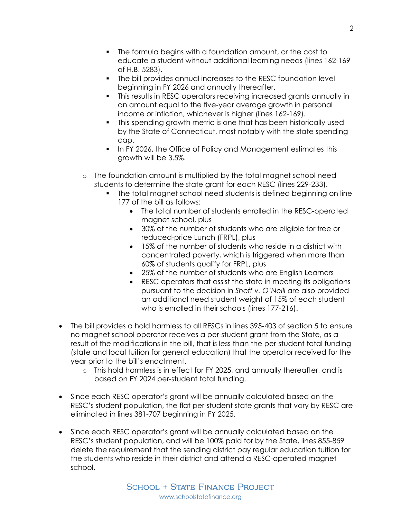- The formula begins with a foundation amount, or the cost to educate a student without additional learning needs (lines 162-169 of H.B. 5283).
- The bill provides annual increases to the RESC foundation level beginning in FY 2026 and annually thereafter.
- This results in RESC operators receiving increased grants annually in an amount equal to the five-year average growth in personal income or inflation, whichever is higher (lines 162-169).
- This spending growth metric is one that has been historically used by the State of Connecticut, most notably with the state spending cap.
- In FY 2026, the Office of Policy and Management estimates this growth will be 3.5%.
- o The foundation amount is multiplied by the total magnet school need students to determine the state grant for each RESC (lines 229-233).
	- The total magnet school need students is defined beginning on line 177 of the bill as follows:
		- The total number of students enrolled in the RESC-operated magnet school, plus
		- 30% of the number of students who are eligible for free or reduced-price Lunch (FRPL), plus
		- 15% of the number of students who reside in a district with concentrated poverty, which is triggered when more than 60% of students qualify for FRPL, plus
		- 25% of the number of students who are English Learners
		- RESC operators that assist the state in meeting its obligations pursuant to the decision in *Sheff v. O'Neill* are also provided an additional need student weight of 15% of each student who is enrolled in their schools (lines 177-216).
- The bill provides a hold harmless to all RESCs in lines 395-403 of section 5 to ensure no magnet school operator receives a per-student grant from the State, as a result of the modifications in the bill, that is less than the per-student total funding (state and local tuition for general education) that the operator received for the year prior to the bill's enactment.
	- o This hold harmless is in effect for FY 2025, and annually thereafter, and is based on FY 2024 per-student total funding.
- Since each RESC operator's grant will be annually calculated based on the RESC's student population, the flat per-student state grants that vary by RESC are eliminated in lines 381-707 beginning in FY 2025.
- Since each RESC operator's grant will be annually calculated based on the RESC's student population, and will be 100% paid for by the State, lines 855-859 delete the requirement that the sending district pay regular education tuition for the students who reside in their district and attend a RESC-operated magnet school.